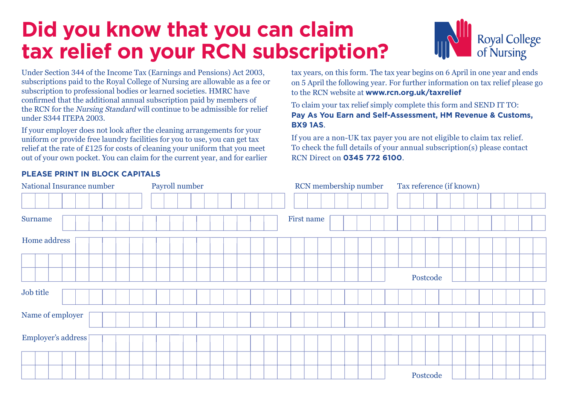## **Did you know that you can claim tax relief on your RCN subscription?**



Under Section 344 of the Income Tax (Earnings and Pensions) Act 2003, subscriptions paid to the Royal College of Nursing are allowable as a fee or subscription to professional bodies or learned societies. HMRC have confirmed that the additional annual subscription paid by members of the RCN for the Nursing Standard will continue to be admissible for relief under S344 ITEPA 2003.

If your employer does not look after the cleaning arrangements for your uniform or provide free laundry facilities for you to use, you can get tax relief at the rate of £125 for costs of cleaning your uniform that you meet out of your own pocket. You can claim for the current year, and for earlier

tax years, on this form. The tax year begins on 6 April in one year and ends on 5 April the following year. For further information on tax relief please go to the RCN website at **www.rcn.org.uk/taxrelief**

To claim your tax relief simply complete this form and SEND IT TO: **Pay As You Earn and Self-Assessment, HM Revenue & Customs, BX9 1AS**.

If you are a non-UK tax payer you are not eligible to claim tax relief. To check the full details of your annual subscription(s) please contact RCN Direct on **0345 772 6100**.

| National Insurance number | Payroll number | RCN membership number | Tax reference (if known) |
|---------------------------|----------------|-----------------------|--------------------------|
|                           |                |                       |                          |
| <b>Surname</b>            |                | First name            |                          |
| Home address              |                |                       |                          |
|                           |                |                       |                          |
|                           |                |                       | Postcode                 |
| Job title                 |                |                       |                          |
| Name of employer          |                |                       |                          |
| Employer's address [      |                |                       |                          |
|                           |                |                       |                          |
|                           |                |                       | Postcode                 |

## **PLEASE PRINT IN BLOCK CAPITALS**